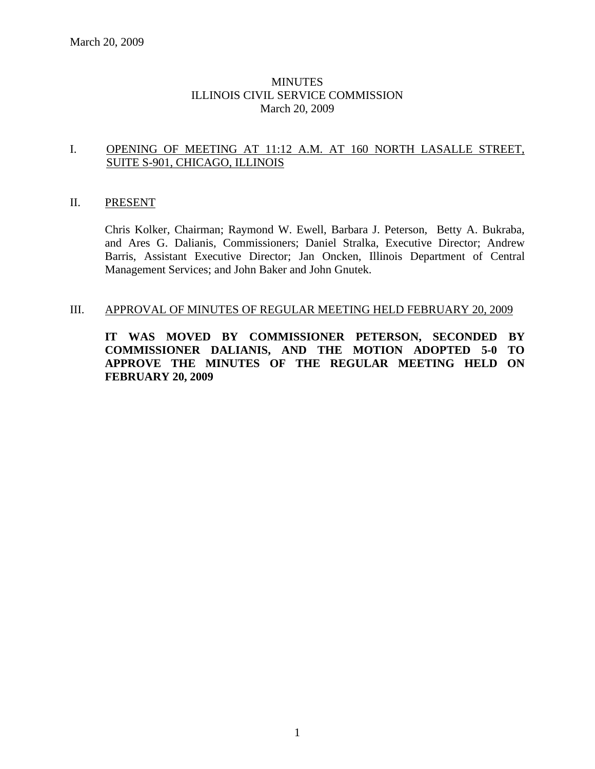### **MINUTES** ILLINOIS CIVIL SERVICE COMMISSION March 20, 2009

### I. OPENING OF MEETING AT 11:12 A.M. AT 160 NORTH LASALLE STREET, SUITE S-901, CHICAGO, ILLINOIS

### II. PRESENT

Chris Kolker, Chairman; Raymond W. Ewell, Barbara J. Peterson, Betty A. Bukraba, and Ares G. Dalianis, Commissioners; Daniel Stralka, Executive Director; Andrew Barris, Assistant Executive Director; Jan Oncken, Illinois Department of Central Management Services; and John Baker and John Gnutek.

#### III. APPROVAL OF MINUTES OF REGULAR MEETING HELD FEBRUARY 20, 2009

**IT WAS MOVED BY COMMISSIONER PETERSON, SECONDED BY COMMISSIONER DALIANIS, AND THE MOTION ADOPTED 5-0 TO APPROVE THE MINUTES OF THE REGULAR MEETING HELD ON FEBRUARY 20, 2009**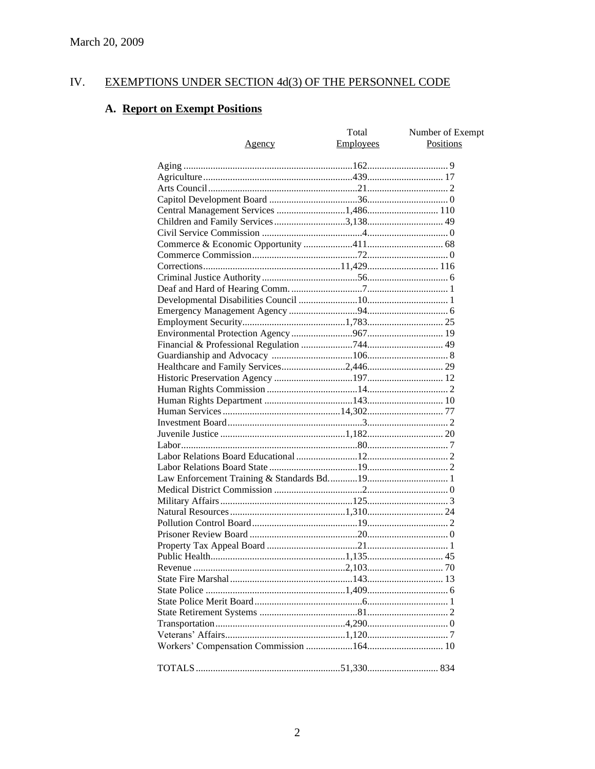#### IV. **EXEMPTIONS UNDER SECTION 4d(3) OF THE PERSONNEL CODE**

# A. Report on Exempt Positions

| Agency                                | Total<br><b>Employees</b> | Number of Exempt<br>Positions |
|---------------------------------------|---------------------------|-------------------------------|
|                                       |                           |                               |
|                                       |                           |                               |
|                                       |                           |                               |
|                                       |                           |                               |
| Central Management Services 1,486 110 |                           |                               |
|                                       |                           |                               |
|                                       |                           |                               |
|                                       |                           |                               |
|                                       |                           |                               |
|                                       |                           |                               |
|                                       |                           |                               |
|                                       |                           |                               |
|                                       |                           |                               |
|                                       |                           |                               |
|                                       |                           |                               |
|                                       |                           |                               |
|                                       |                           |                               |
|                                       |                           |                               |
|                                       |                           |                               |
|                                       |                           |                               |
|                                       |                           |                               |
|                                       |                           |                               |
|                                       |                           |                               |
|                                       |                           |                               |
|                                       |                           |                               |
|                                       |                           |                               |
|                                       |                           |                               |
|                                       |                           |                               |
|                                       |                           |                               |
|                                       |                           |                               |
|                                       |                           |                               |
|                                       |                           |                               |
|                                       |                           |                               |
|                                       |                           |                               |
|                                       |                           |                               |
|                                       |                           |                               |
|                                       |                           |                               |
|                                       |                           |                               |
|                                       |                           |                               |
|                                       |                           |                               |
|                                       |                           |                               |
|                                       |                           |                               |
|                                       |                           |                               |
|                                       |                           |                               |
|                                       |                           |                               |
|                                       |                           |                               |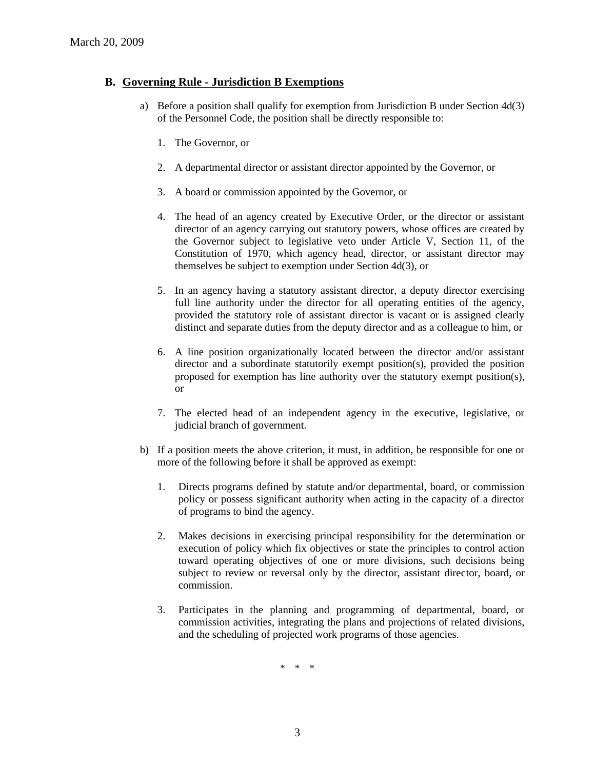### **B. Governing Rule - Jurisdiction B Exemptions**

- a) Before a position shall qualify for exemption from Jurisdiction B under Section 4d(3) of the Personnel Code, the position shall be directly responsible to:
	- 1. The Governor, or
	- 2. A departmental director or assistant director appointed by the Governor, or
	- 3. A board or commission appointed by the Governor, or
	- 4. The head of an agency created by Executive Order, or the director or assistant director of an agency carrying out statutory powers, whose offices are created by the Governor subject to legislative veto under Article V, Section 11, of the Constitution of 1970, which agency head, director, or assistant director may themselves be subject to exemption under Section 4d(3), or
	- 5. In an agency having a statutory assistant director, a deputy director exercising full line authority under the director for all operating entities of the agency, provided the statutory role of assistant director is vacant or is assigned clearly distinct and separate duties from the deputy director and as a colleague to him, or
	- 6. A line position organizationally located between the director and/or assistant director and a subordinate statutorily exempt position(s), provided the position proposed for exemption has line authority over the statutory exempt position(s), or
	- 7. The elected head of an independent agency in the executive, legislative, or judicial branch of government.
- b) If a position meets the above criterion, it must, in addition, be responsible for one or more of the following before it shall be approved as exempt:
	- 1. Directs programs defined by statute and/or departmental, board, or commission policy or possess significant authority when acting in the capacity of a director of programs to bind the agency.
	- 2. Makes decisions in exercising principal responsibility for the determination or execution of policy which fix objectives or state the principles to control action toward operating objectives of one or more divisions, such decisions being subject to review or reversal only by the director, assistant director, board, or commission.
	- 3. Participates in the planning and programming of departmental, board, or commission activities, integrating the plans and projections of related divisions, and the scheduling of projected work programs of those agencies.

\* \* \*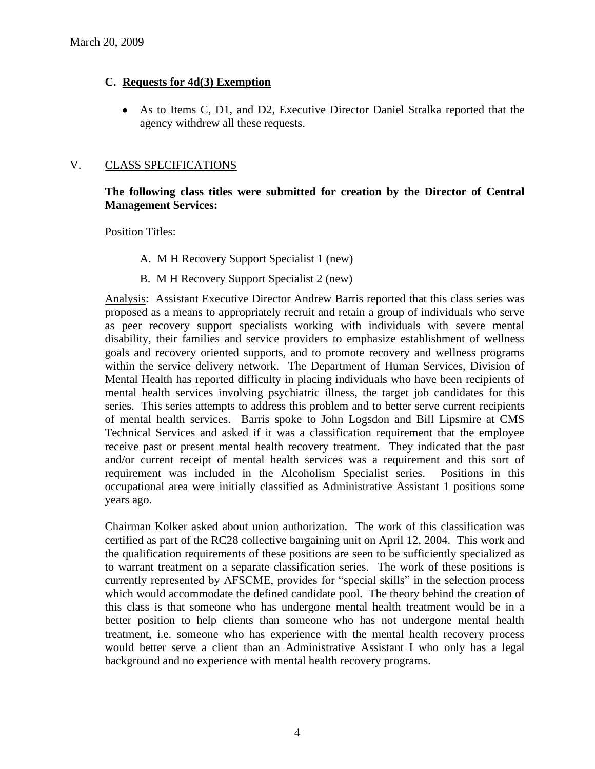### **C. Requests for 4d(3) Exemption**

As to Items C, D1, and D2, Executive Director Daniel Stralka reported that the agency withdrew all these requests.

### V. CLASS SPECIFICATIONS

### **The following class titles were submitted for creation by the Director of Central Management Services:**

Position Titles:

- A. M H Recovery Support Specialist 1 (new)
- B. M H Recovery Support Specialist 2 (new)

Analysis: Assistant Executive Director Andrew Barris reported that this class series was proposed as a means to appropriately recruit and retain a group of individuals who serve as peer recovery support specialists working with individuals with severe mental disability, their families and service providers to emphasize establishment of wellness goals and recovery oriented supports, and to promote recovery and wellness programs within the service delivery network. The Department of Human Services, Division of Mental Health has reported difficulty in placing individuals who have been recipients of mental health services involving psychiatric illness, the target job candidates for this series. This series attempts to address this problem and to better serve current recipients of mental health services. Barris spoke to John Logsdon and Bill Lipsmire at CMS Technical Services and asked if it was a classification requirement that the employee receive past or present mental health recovery treatment. They indicated that the past and/or current receipt of mental health services was a requirement and this sort of requirement was included in the Alcoholism Specialist series. Positions in this occupational area were initially classified as Administrative Assistant 1 positions some years ago.

Chairman Kolker asked about union authorization. The work of this classification was certified as part of the RC28 collective bargaining unit on April 12, 2004. This work and the qualification requirements of these positions are seen to be sufficiently specialized as to warrant treatment on a separate classification series. The work of these positions is currently represented by AFSCME, provides for "special skills" in the selection process which would accommodate the defined candidate pool. The theory behind the creation of this class is that someone who has undergone mental health treatment would be in a better position to help clients than someone who has not undergone mental health treatment, i.e. someone who has experience with the mental health recovery process would better serve a client than an Administrative Assistant I who only has a legal background and no experience with mental health recovery programs.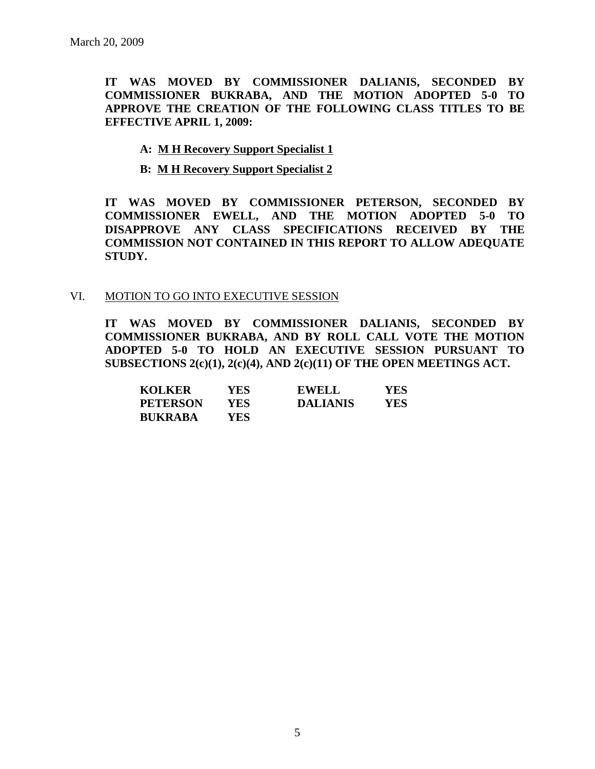**IT WAS MOVED BY COMMISSIONER DALIANIS, SECONDED BY COMMISSIONER BUKRABA, AND THE MOTION ADOPTED 5-0 TO APPROVE THE CREATION OF THE FOLLOWING CLASS TITLES TO BE EFFECTIVE APRIL 1, 2009:**

### **A: M H Recovery Support Specialist 1**

**B: M H Recovery Support Specialist 2**

**IT WAS MOVED BY COMMISSIONER PETERSON, SECONDED BY COMMISSIONER EWELL, AND THE MOTION ADOPTED 5-0 TO DISAPPROVE ANY CLASS SPECIFICATIONS RECEIVED BY THE COMMISSION NOT CONTAINED IN THIS REPORT TO ALLOW ADEQUATE STUDY.** 

#### VI. MOTION TO GO INTO EXECUTIVE SESSION

**IT WAS MOVED BY COMMISSIONER DALIANIS, SECONDED BY COMMISSIONER BUKRABA, AND BY ROLL CALL VOTE THE MOTION ADOPTED 5-0 TO HOLD AN EXECUTIVE SESSION PURSUANT TO SUBSECTIONS 2(c)(1), 2(c)(4), AND 2(c)(11) OF THE OPEN MEETINGS ACT.** 

| <b>KOLKER</b>   | YES. | <b>EWELL</b>    | YES |
|-----------------|------|-----------------|-----|
| <b>PETERSON</b> | YES  | <b>DALIANIS</b> | YES |
| <b>BUKRABA</b>  | YES. |                 |     |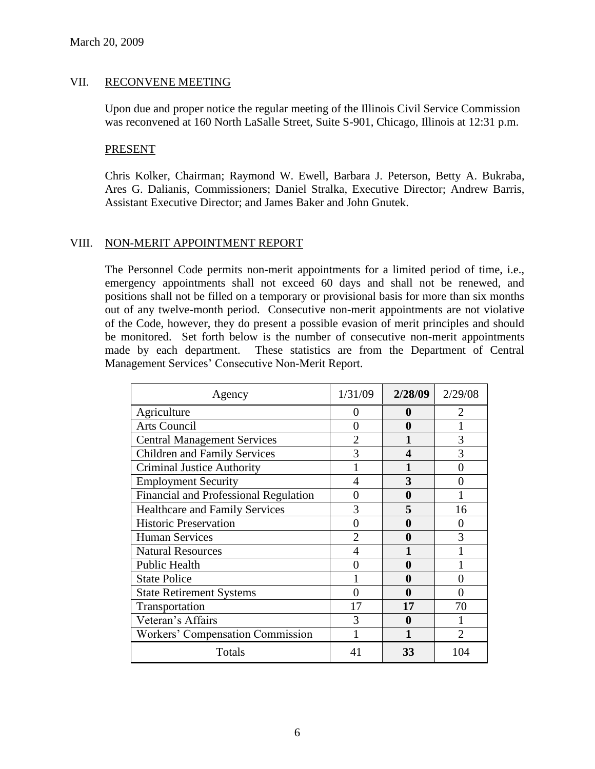### VII. RECONVENE MEETING

Upon due and proper notice the regular meeting of the Illinois Civil Service Commission was reconvened at 160 North LaSalle Street, Suite S-901, Chicago, Illinois at 12:31 p.m.

#### PRESENT

Chris Kolker, Chairman; Raymond W. Ewell, Barbara J. Peterson, Betty A. Bukraba, Ares G. Dalianis, Commissioners; Daniel Stralka, Executive Director; Andrew Barris, Assistant Executive Director; and James Baker and John Gnutek.

### VIII. NON-MERIT APPOINTMENT REPORT

The Personnel Code permits non-merit appointments for a limited period of time, i.e., emergency appointments shall not exceed 60 days and shall not be renewed, and positions shall not be filled on a temporary or provisional basis for more than six months out of any twelve-month period. Consecutive non-merit appointments are not violative of the Code, however, they do present a possible evasion of merit principles and should be monitored. Set forth below is the number of consecutive non-merit appointments made by each department. These statistics are from the Department of Central Management Services' Consecutive Non-Merit Report.

| Agency                                       | 1/31/09       | 2/28/09  | 2/29/08 |
|----------------------------------------------|---------------|----------|---------|
| Agriculture                                  | 0             | 0        |         |
| <b>Arts Council</b>                          | $\mathcal{O}$ | 0        |         |
| <b>Central Management Services</b>           |               |          | 3       |
| <b>Children and Family Services</b>          | 3             | 4        | 3       |
| <b>Criminal Justice Authority</b>            |               |          |         |
| <b>Employment Security</b>                   | 4             | 3        |         |
| <b>Financial and Professional Regulation</b> | 0             | $\bf{0}$ |         |
| <b>Healthcare and Family Services</b>        | 3             | 5        | 16      |
| <b>Historic Preservation</b>                 | 0             | 0        |         |
| <b>Human Services</b>                        |               | 0        | 3       |
| <b>Natural Resources</b>                     |               |          |         |
| Public Health                                |               | 0        |         |
| <b>State Police</b>                          |               | $\bf{0}$ | 0       |
| <b>State Retirement Systems</b>              | 0             | 0        | ∩       |
| Transportation                               | 17            | 17       | 70      |
| Veteran's Affairs                            | 3             | 0        |         |
| Workers' Compensation Commission             |               |          |         |
| Totals                                       | 41            | 33       | 104     |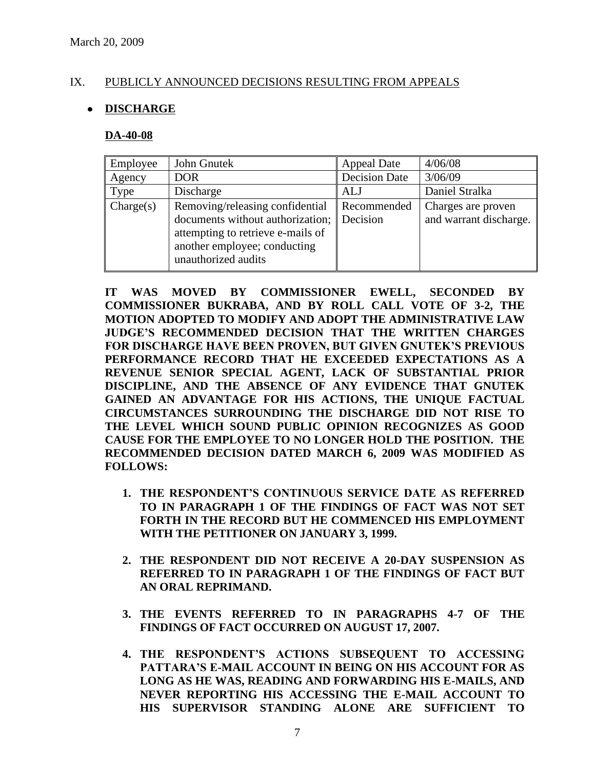### IX. PUBLICLY ANNOUNCED DECISIONS RESULTING FROM APPEALS

### **DISCHARGE**

#### **DA-40-08**

| Employee  | John Gnutek                                                                                                                                                              | <b>Appeal Date</b>   | 4/06/08                                      |
|-----------|--------------------------------------------------------------------------------------------------------------------------------------------------------------------------|----------------------|----------------------------------------------|
| Agency    | <b>DOR</b>                                                                                                                                                               | <b>Decision Date</b> | 3/06/09                                      |
| Type      | Discharge                                                                                                                                                                | <b>ALJ</b>           | Daniel Stralka                               |
| Change(s) | Removing/releasing confidential<br>documents without authorization; Decision<br>attempting to retrieve e-mails of<br>another employee; conducting<br>unauthorized audits | Recommended          | Charges are proven<br>and warrant discharge. |

**IT WAS MOVED BY COMMISSIONER EWELL, SECONDED BY COMMISSIONER BUKRABA, AND BY ROLL CALL VOTE OF 3-2, THE MOTION ADOPTED TO MODIFY AND ADOPT THE ADMINISTRATIVE LAW JUDGE'S RECOMMENDED DECISION THAT THE WRITTEN CHARGES FOR DISCHARGE HAVE BEEN PROVEN, BUT GIVEN GNUTEK'S PREVIOUS PERFORMANCE RECORD THAT HE EXCEEDED EXPECTATIONS AS A REVENUE SENIOR SPECIAL AGENT, LACK OF SUBSTANTIAL PRIOR DISCIPLINE, AND THE ABSENCE OF ANY EVIDENCE THAT GNUTEK GAINED AN ADVANTAGE FOR HIS ACTIONS, THE UNIQUE FACTUAL CIRCUMSTANCES SURROUNDING THE DISCHARGE DID NOT RISE TO THE LEVEL WHICH SOUND PUBLIC OPINION RECOGNIZES AS GOOD CAUSE FOR THE EMPLOYEE TO NO LONGER HOLD THE POSITION. THE RECOMMENDED DECISION DATED MARCH 6, 2009 WAS MODIFIED AS FOLLOWS:**

- **1. THE RESPONDENT'S CONTINUOUS SERVICE DATE AS REFERRED TO IN PARAGRAPH 1 OF THE FINDINGS OF FACT WAS NOT SET FORTH IN THE RECORD BUT HE COMMENCED HIS EMPLOYMENT WITH THE PETITIONER ON JANUARY 3, 1999.**
- **2. THE RESPONDENT DID NOT RECEIVE A 20-DAY SUSPENSION AS REFERRED TO IN PARAGRAPH 1 OF THE FINDINGS OF FACT BUT AN ORAL REPRIMAND.**
- **3. THE EVENTS REFERRED TO IN PARAGRAPHS 4-7 OF THE FINDINGS OF FACT OCCURRED ON AUGUST 17, 2007.**
- **4. THE RESPONDENT'S ACTIONS SUBSEQUENT TO ACCESSING PATTARA'S E-MAIL ACCOUNT IN BEING ON HIS ACCOUNT FOR AS LONG AS HE WAS, READING AND FORWARDING HIS E-MAILS, AND NEVER REPORTING HIS ACCESSING THE E-MAIL ACCOUNT TO HIS SUPERVISOR STANDING ALONE ARE SUFFICIENT TO**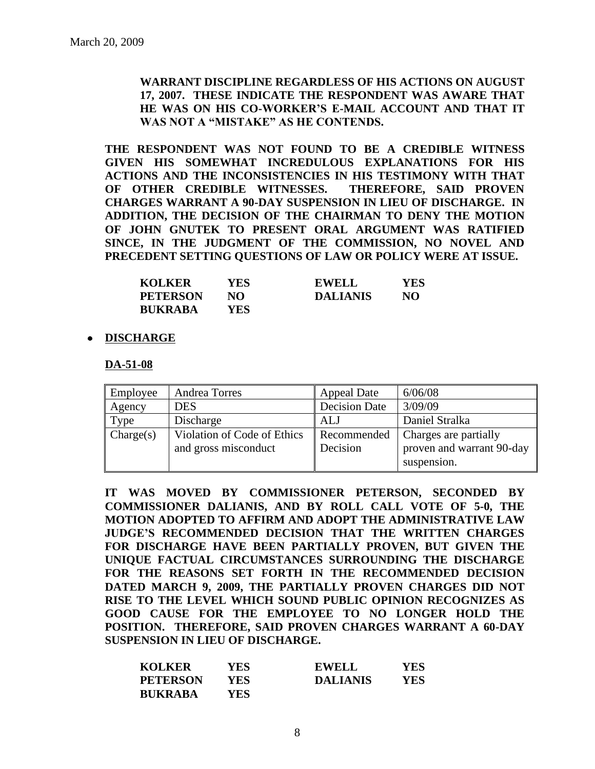**WARRANT DISCIPLINE REGARDLESS OF HIS ACTIONS ON AUGUST 17, 2007. THESE INDICATE THE RESPONDENT WAS AWARE THAT HE WAS ON HIS CO-WORKER'S E-MAIL ACCOUNT AND THAT IT WAS NOT A "MISTAKE" AS HE CONTENDS.**

**THE RESPONDENT WAS NOT FOUND TO BE A CREDIBLE WITNESS GIVEN HIS SOMEWHAT INCREDULOUS EXPLANATIONS FOR HIS ACTIONS AND THE INCONSISTENCIES IN HIS TESTIMONY WITH THAT OF OTHER CREDIBLE WITNESSES. THEREFORE, SAID PROVEN CHARGES WARRANT A 90-DAY SUSPENSION IN LIEU OF DISCHARGE. IN ADDITION, THE DECISION OF THE CHAIRMAN TO DENY THE MOTION OF JOHN GNUTEK TO PRESENT ORAL ARGUMENT WAS RATIFIED SINCE, IN THE JUDGMENT OF THE COMMISSION, NO NOVEL AND PRECEDENT SETTING QUESTIONS OF LAW OR POLICY WERE AT ISSUE.**

| <b>KOLKER</b>   | YES. | <b>EWELL</b>    | YES |
|-----------------|------|-----------------|-----|
| <b>PETERSON</b> | NΩ   | <b>DALIANIS</b> | NO  |
| <b>BUKRABA</b>  | YES- |                 |     |

### **DISCHARGE**

**DA-51-08**

| Employee  | <b>Andrea Torres</b>                                | <b>Appeal Date</b>      | 6/06/08                                                           |
|-----------|-----------------------------------------------------|-------------------------|-------------------------------------------------------------------|
| Agency    | <b>DES</b>                                          | <b>Decision Date</b>    | 3/09/09                                                           |
| Type      | Discharge                                           | ALJ                     | Daniel Stralka                                                    |
| Change(s) | Violation of Code of Ethics<br>and gross misconduct | Recommended<br>Decision | Charges are partially<br>proven and warrant 90-day<br>suspension. |

**IT WAS MOVED BY COMMISSIONER PETERSON, SECONDED BY COMMISSIONER DALIANIS, AND BY ROLL CALL VOTE OF 5-0, THE MOTION ADOPTED TO AFFIRM AND ADOPT THE ADMINISTRATIVE LAW JUDGE'S RECOMMENDED DECISION THAT THE WRITTEN CHARGES FOR DISCHARGE HAVE BEEN PARTIALLY PROVEN, BUT GIVEN THE UNIQUE FACTUAL CIRCUMSTANCES SURROUNDING THE DISCHARGE FOR THE REASONS SET FORTH IN THE RECOMMENDED DECISION DATED MARCH 9, 2009, THE PARTIALLY PROVEN CHARGES DID NOT RISE TO THE LEVEL WHICH SOUND PUBLIC OPINION RECOGNIZES AS GOOD CAUSE FOR THE EMPLOYEE TO NO LONGER HOLD THE POSITION. THEREFORE, SAID PROVEN CHARGES WARRANT A 60-DAY SUSPENSION IN LIEU OF DISCHARGE.**

| <b>KOLKER</b>   | YES  | <b>EWELL</b>    | YES |
|-----------------|------|-----------------|-----|
| <b>PETERSON</b> | YES. | <b>DALIANIS</b> | YES |
| <b>BUKRABA</b>  | YES- |                 |     |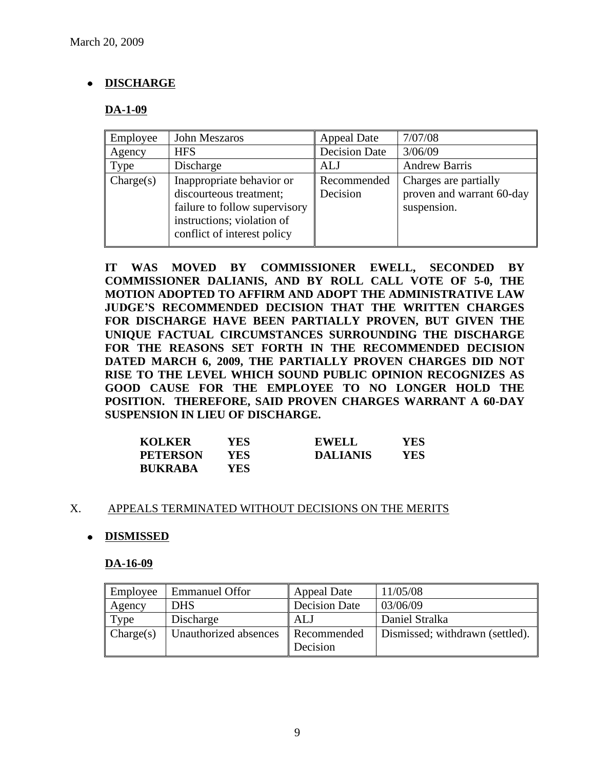## **DISCHARGE**

### **DA-1-09**

| Employee  | John Meszaros                                                                                                                                      | <b>Appeal Date</b>      | 7/07/08                                                           |
|-----------|----------------------------------------------------------------------------------------------------------------------------------------------------|-------------------------|-------------------------------------------------------------------|
| Agency    | <b>HFS</b>                                                                                                                                         | <b>Decision Date</b>    | 3/06/09                                                           |
| Type      | Discharge                                                                                                                                          | <b>ALJ</b>              | <b>Andrew Barris</b>                                              |
| Change(s) | Inappropriate behavior or<br>discourteous treatment;<br>failure to follow supervisory<br>instructions; violation of<br>conflict of interest policy | Recommended<br>Decision | Charges are partially<br>proven and warrant 60-day<br>suspension. |

**IT WAS MOVED BY COMMISSIONER EWELL, SECONDED BY COMMISSIONER DALIANIS, AND BY ROLL CALL VOTE OF 5-0, THE MOTION ADOPTED TO AFFIRM AND ADOPT THE ADMINISTRATIVE LAW JUDGE'S RECOMMENDED DECISION THAT THE WRITTEN CHARGES FOR DISCHARGE HAVE BEEN PARTIALLY PROVEN, BUT GIVEN THE UNIQUE FACTUAL CIRCUMSTANCES SURROUNDING THE DISCHARGE FOR THE REASONS SET FORTH IN THE RECOMMENDED DECISION DATED MARCH 6, 2009, THE PARTIALLY PROVEN CHARGES DID NOT RISE TO THE LEVEL WHICH SOUND PUBLIC OPINION RECOGNIZES AS GOOD CAUSE FOR THE EMPLOYEE TO NO LONGER HOLD THE POSITION. THEREFORE, SAID PROVEN CHARGES WARRANT A 60-DAY SUSPENSION IN LIEU OF DISCHARGE.**

| <b>KOLKER</b>   | YES. | <b>EWELL</b>    | YES |
|-----------------|------|-----------------|-----|
| <b>PETERSON</b> | YES- | <b>DALIANIS</b> | YES |
| <b>BUKRABA</b>  | YES  |                 |     |

### X. APPEALS TERMINATED WITHOUT DECISIONS ON THE MERITS

### **DISMISSED**

### **DA-16-09**

| Employee  | <b>Emmanuel Offor</b> | <b>Appeal Date</b>      | 11/05/08                        |
|-----------|-----------------------|-------------------------|---------------------------------|
| Agency    | <b>DHS</b>            | <b>Decision Date</b>    | 03/06/09                        |
| Type      | Discharge             | ALJ                     | Daniel Stralka                  |
| Change(s) | Unauthorized absences | Recommended<br>Decision | Dismissed; withdrawn (settled). |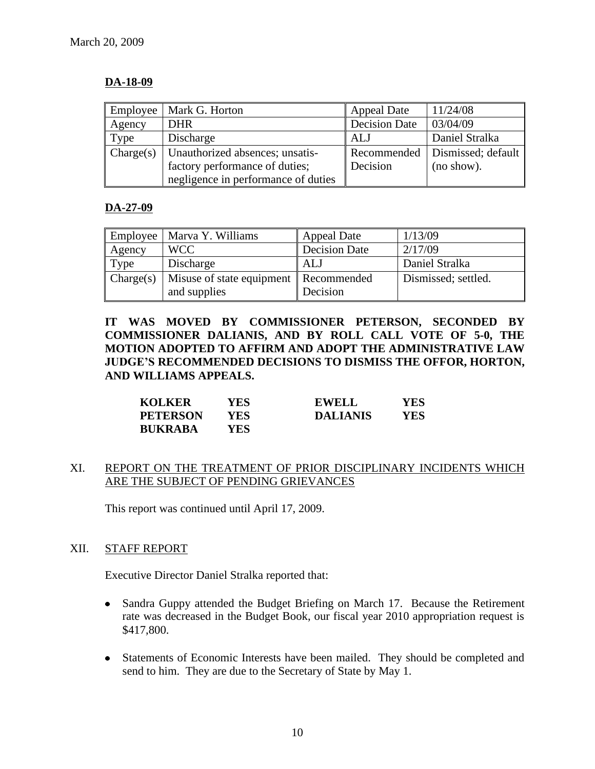### **DA-18-09**

| Employee  | Mark G. Horton                      | <b>Appeal Date</b>   | 11/24/08                         |
|-----------|-------------------------------------|----------------------|----------------------------------|
| Agency    | <b>DHR</b>                          | <b>Decision Date</b> | 03/04/09                         |
| Type      | Discharge                           | ALJ                  | Daniel Stralka                   |
| Charge(s) | Unauthorized absences; unsatis-     |                      | Recommended   Dismissed; default |
|           | factory performance of duties;      | Decision             | (no show).                       |
|           | negligence in performance of duties |                      |                                  |

### **DA-27-09**

| Employee  | Marva Y. Williams                       | <b>Appeal Date</b>   | 1/13/09             |
|-----------|-----------------------------------------|----------------------|---------------------|
| Agency    | <b>WCC</b>                              | <b>Decision Date</b> | 2/17/09             |
| Type      | Discharge                               | ALJ                  | Daniel Stralka      |
| Change(s) | Misuse of state equipment   Recommended |                      | Dismissed; settled. |
|           | and supplies                            | Decision             |                     |

**IT WAS MOVED BY COMMISSIONER PETERSON, SECONDED BY COMMISSIONER DALIANIS, AND BY ROLL CALL VOTE OF 5-0, THE MOTION ADOPTED TO AFFIRM AND ADOPT THE ADMINISTRATIVE LAW JUDGE'S RECOMMENDED DECISIONS TO DISMISS THE OFFOR, HORTON, AND WILLIAMS APPEALS.**

| <b>KOLKER</b>   | YES. | <b>EWELL</b>    | <b>YES</b> |
|-----------------|------|-----------------|------------|
| <b>PETERSON</b> | YES. | <b>DALIANIS</b> | YES        |
| <b>BUKRABA</b>  | YES. |                 |            |

### XI. REPORT ON THE TREATMENT OF PRIOR DISCIPLINARY INCIDENTS WHICH ARE THE SUBJECT OF PENDING GRIEVANCES

This report was continued until April 17, 2009.

### XII. STAFF REPORT

Executive Director Daniel Stralka reported that:

- Sandra Guppy attended the Budget Briefing on March 17. Because the Retirement rate was decreased in the Budget Book, our fiscal year 2010 appropriation request is \$417,800.
- Statements of Economic Interests have been mailed. They should be completed and send to him. They are due to the Secretary of State by May 1.